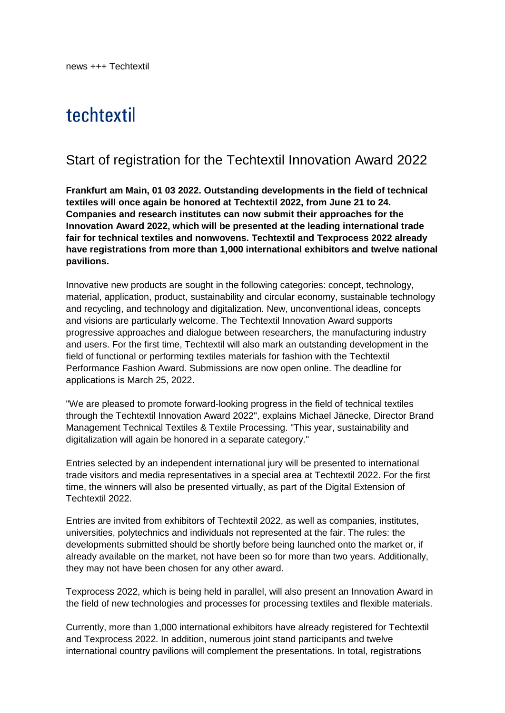## techtextil

## Start of registration for the Techtextil Innovation Award 2022

**Frankfurt am Main, 01 03 2022. Outstanding developments in the field of technical textiles will once again be honored at Techtextil 2022, from June 21 to 24. Companies and research institutes can now submit their approaches for the Innovation Award 2022, which will be presented at the leading international trade fair for technical textiles and nonwovens. Techtextil and Texprocess 2022 already have registrations from more than 1,000 international exhibitors and twelve national pavilions.** 

Innovative new products are sought in the following categories: concept, technology, material, application, product, sustainability and circular economy, sustainable technology and recycling, and technology and digitalization. New, unconventional ideas, concepts and visions are particularly welcome. The Techtextil Innovation Award supports progressive approaches and dialogue between researchers, the manufacturing industry and users. For the first time, Techtextil will also mark an outstanding development in the field of functional or performing textiles materials for fashion with the Techtextil Performance Fashion Award. Submissions are now open online. The deadline for applications is March 25, 2022.

"We are pleased to promote forward-looking progress in the field of technical textiles through the Techtextil Innovation Award 2022", explains Michael Jänecke, Director Brand Management Technical Textiles & Textile Processing. "This year, sustainability and digitalization will again be honored in a separate category."

Entries selected by an independent international jury will be presented to international trade visitors and media representatives in a special area at Techtextil 2022. For the first time, the winners will also be presented virtually, as part of the Digital Extension of Techtextil 2022.

Entries are invited from exhibitors of Techtextil 2022, as well as companies, institutes, universities, polytechnics and individuals not represented at the fair. The rules: the developments submitted should be shortly before being launched onto the market or, if already available on the market, not have been so for more than two years. Additionally, they may not have been chosen for any other award.

Texprocess 2022, which is being held in parallel, will also present an Innovation Award in the field of new technologies and processes for processing textiles and flexible materials.

Currently, more than 1,000 international exhibitors have already registered for Techtextil and Texprocess 2022. In addition, numerous joint stand participants and twelve international country pavilions will complement the presentations. In total, registrations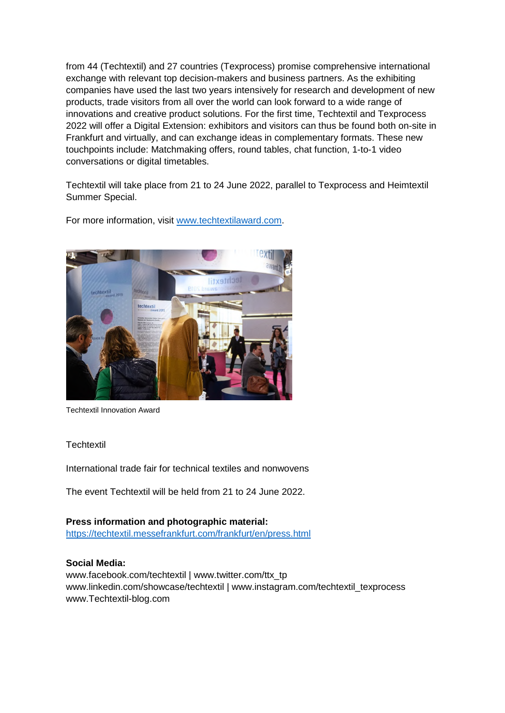from 44 (Techtextil) and 27 countries (Texprocess) promise comprehensive international exchange with relevant top decision-makers and business partners. As the exhibiting companies have used the last two years intensively for research and development of new products, trade visitors from all over the world can look forward to a wide range of innovations and creative product solutions. For the first time, Techtextil and Texprocess 2022 will offer a Digital Extension: exhibitors and visitors can thus be found both on-site in Frankfurt and virtually, and can exchange ideas in complementary formats. These new touchpoints include: Matchmaking offers, round tables, chat function, 1-to-1 video conversations or digital timetables.

Techtextil will take place from 21 to 24 June 2022, parallel to Texprocess and Heimtextil Summer Special.

For more information, visit [www.techtextilaward.com.](http://www.techtextilaward.com/)



Techtextil Innovation Award

**Techtextil** 

International trade fair for technical textiles and nonwovens

The event Techtextil will be held from 21 to 24 June 2022.

**Press information and photographic material:**  <https://techtextil.messefrankfurt.com/frankfurt/en/press.html>

## **Social Media:**

www.facebook.com/techtextil | www[.twitter.com/ttx\\_tp](http://www.twitter.com/ttx_tp)  www[.linkedin.com/showcase/techtextil](http://www.linkedin.com/showcase/techtextil) | www[.instagram.com/techtextil\\_texprocess](http://www.instagram.com/techtextil_texprocess) www.Techtextil-blog.com